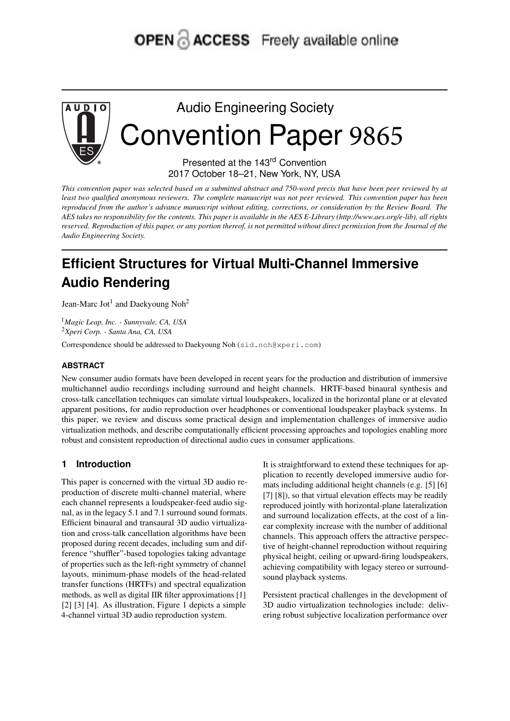# OPEN & ACCESS Freely available online



Audio Engineering Society Convention Paper 9865

> Presented at the 143rd Convention 2017 October 18–21, New York, NY, USA

This convention paper was selected based on a submitted abstract and 750-word precis that have been peer reviewed by at least two qualified anonymous reviewers. The complete manuscript was not peer reviewed. This convention paper has been reproduced from the author's advance manuscript without editing, corrections, or consideration by the Review Board. The AES takes no responsibility for the contents. This paper is available in the AES E-Library (http://www.aes.org/e-lib), all rights reserved. Reproduction of this paper, or any portion thereof, is not permitted without direct permission from the Journal of the *Audio Engineering Society.*

## **Efficient Structures for Virtual Multi-Channel Immersive Audio Rendering**

Jean-Marc Jot<sup>1</sup> and Daekyoung Noh<sup>2</sup>

<sup>1</sup>*Magic Leap, Inc. - Sunnyvale, CA, USA* <sup>2</sup>*Xperi Corp. - Santa Ana, CA, USA*

Correspondence should be addressed to Daekyoung Noh (sid.noh@xperi.com)

#### **ABSTRACT**

New consumer audio formats have been developed in recent years for the production and distribution of immersive multichannel audio recordings including surround and height channels. HRTF-based binaural synthesis and cross-talk cancellation techniques can simulate virtual loudspeakers, localized in the horizontal plane or at elevated apparent positions, for audio reproduction over headphones or conventional loudspeaker playback systems. In this paper, we review and discuss some practical design and implementation challenges of immersive audio virtualization methods, and describe computationally efficient processing approaches and topologies enabling more robust and consistent reproduction of directional audio cues in consumer applications.

### **1 Introduction**

This paper is concerned with the virtual 3D audio reproduction of discrete multi-channel material, where each channel represents a loudspeaker-feed audio signal, as in the legacy 5.1 and 7.1 surround sound formats. Efficient binaural and transaural 3D audio virtualization and cross-talk cancellation algorithms have been proposed during recent decades, including sum and difference "shuffler"-based topologies taking advantage of properties such as the left-right symmetry of channel layouts, minimum-phase models of the head-related transfer functions (HRTFs) and spectral equalization methods, as well as digital IIR filter approximations [1] [2] [3] [4]. As illustration, Figure 1 depicts a simple 4-channel virtual 3D audio reproduction system.

It is straightforward to extend these techniques for application to recently developed immersive audio formats including additional height channels (e.g. [5] [6] [7] [8]), so that virtual elevation effects may be readily reproduced jointly with horizontal-plane lateralization and surround localization effects, at the cost of a linear complexity increase with the number of additional channels. This approach offers the attractive perspective of height-channel reproduction without requiring physical height, ceiling or upward-firing loudspeakers, achieving compatibility with legacy stereo or surroundsound playback systems.

Persistent practical challenges in the development of 3D audio virtualization technologies include: delivering robust subjective localization performance over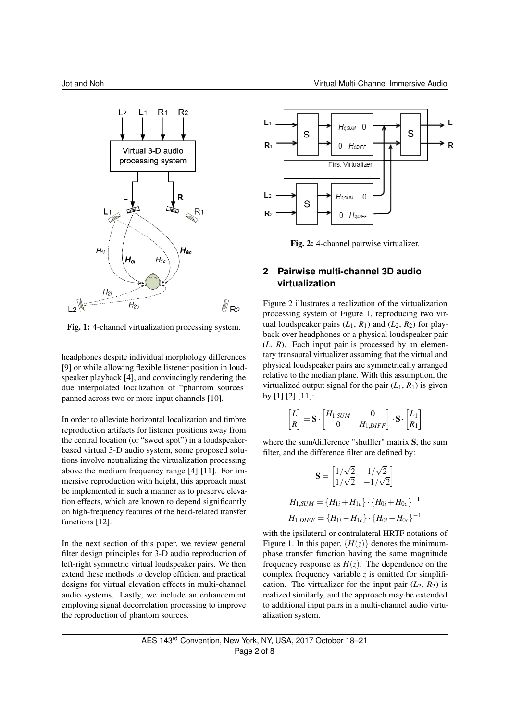

Fig. 1: 4-channel virtualization processing system.

headphones despite individual morphology differences [9] or while allowing flexible listener position in loudspeaker playback [4], and convincingly rendering the due interpolated localization of "phantom sources" panned across two or more input channels [10].

In order to alleviate horizontal localization and timbre reproduction artifacts for listener positions away from the central location (or "sweet spot") in a loudspeakerbased virtual 3-D audio system, some proposed solutions involve neutralizing the virtualization processing above the medium frequency range [4] [11]. For immersive reproduction with height, this approach must be implemented in such a manner as to preserve elevation effects, which are known to depend significantly on high-frequency features of the head-related transfer functions [12].

In the next section of this paper, we review general filter design principles for 3-D audio reproduction of left-right symmetric virtual loudspeaker pairs. We then extend these methods to develop efficient and practical designs for virtual elevation effects in multi-channel audio systems. Lastly, we include an enhancement employing signal decorrelation processing to improve the reproduction of phantom sources.



Fig. 2: 4-channel pairwise virtualizer.

## **2 Pairwise multi-channel 3D audio virtualization**

Figure 2 illustrates a realization of the virtualization processing system of Figure 1, reproducing two virtual loudspeaker pairs  $(L_1, R_1)$  and  $(L_2, R_2)$  for playback over headphones or a physical loudspeaker pair (*L*, *R*). Each input pair is processed by an elementary transaural virtualizer assuming that the virtual and physical loudspeaker pairs are symmetrically arranged relative to the median plane. With this assumption, the virtualized output signal for the pair  $(L_1, R_1)$  is given by [1] [2] [11]:

$$
\begin{bmatrix} L \\ R \end{bmatrix} = \mathbf{S} \cdot \begin{bmatrix} H_{1,SUM} & 0 \\ 0 & H_{1,DIFF} \end{bmatrix} \cdot \mathbf{S} \cdot \begin{bmatrix} L_1 \\ R_1 \end{bmatrix}
$$

where the sum/difference "shuffler" matrix S, the sum filter, and the difference filter are defined by:

$$
\mathbf{S} = \begin{bmatrix} 1/\sqrt{2} & 1/\sqrt{2} \\ 1/\sqrt{2} & -1/\sqrt{2} \end{bmatrix}
$$

$$
H_{1,SUM} = \{H_{1i} + H_{1c}\} \cdot \{H_{0i} + H_{0c}\}^{-1}
$$

$$
H_{1,DIFF} = \{H_{1i} - H_{1c}\} \cdot \{H_{0i} - H_{0c}\}^{-1}
$$

with the ipsilateral or contralateral HRTF notations of Figure 1. In this paper,  ${H(z)}$  denotes the minimumphase transfer function having the same magnitude frequency response as  $H(z)$ . The dependence on the complex frequency variable *z* is omitted for simplification. The virtualizer for the input pair  $(L_2, R_2)$  is realized similarly, and the approach may be extended to additional input pairs in a multi-channel audio virtualization system.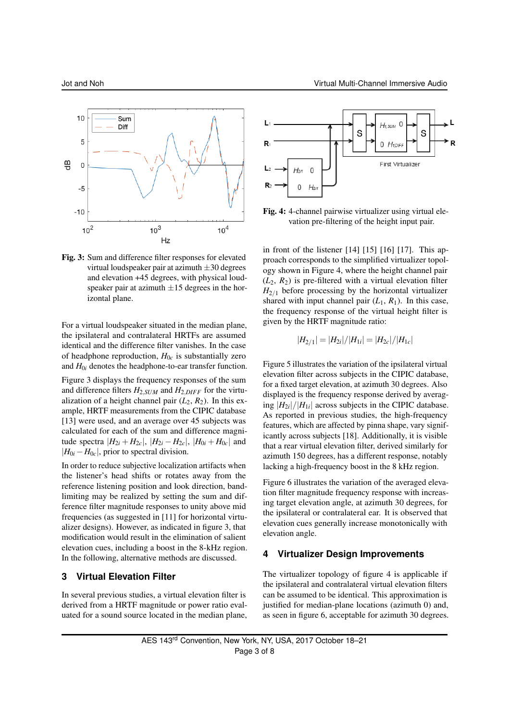

Fig. 3: Sum and difference filter responses for elevated virtual loudspeaker pair at azimuth ±30 degrees and elevation +45 degrees, with physical loudspeaker pair at azimuth  $\pm 15$  degrees in the horizontal plane.

For a virtual loudspeaker situated in the median plane, the ipsilateral and contralateral HRTFs are assumed identical and the difference filter vanishes. In the case of headphone reproduction,  $H_{0c}$  is substantially zero and *H*0*<sup>i</sup>* denotes the headphone-to-ear transfer function.

Figure 3 displays the frequency responses of the sum and difference filters  $H_{2,SUM}$  and  $H_{2,DIFF}$  for the virtualization of a height channel pair  $(L_2, R_2)$ . In this example, HRTF measurements from the CIPIC database [13] were used, and an average over 45 subjects was calculated for each of the sum and difference magnitude spectra  $|H_{2i} + H_{2c}|$ ,  $|H_{2i} - H_{2c}|$ ,  $|H_{0i} + H_{0c}|$  and  $|H_{0i} - H_{0c}|$ , prior to spectral division.

In order to reduce subjective localization artifacts when the listener's head shifts or rotates away from the reference listening position and look direction, bandlimiting may be realized by setting the sum and difference filter magnitude responses to unity above mid frequencies (as suggested in [11] for horizontal virtualizer designs). However, as indicated in figure 3, that modification would result in the elimination of salient elevation cues, including a boost in the 8-kHz region. In the following, alternative methods are discussed.

#### **3 Virtual Elevation Filter**

In several previous studies, a virtual elevation filter is derived from a HRTF magnitude or power ratio evaluated for a sound source located in the median plane,



Fig. 4: 4-channel pairwise virtualizer using virtual elevation pre-filtering of the height input pair.

in front of the listener [14] [15] [16] [17]. This approach corresponds to the simplified virtualizer topology shown in Figure 4, where the height channel pair  $(L_2, R_2)$  is pre-filtered with a virtual elevation filter  $H_{2/1}$  before processing by the horizontal virtualizer shared with input channel pair  $(L_1, R_1)$ . In this case, the frequency response of the virtual height filter is given by the HRTF magnitude ratio:

$$
|H_{2/1}| = |H_{2i}|/|H_{1i}| = |H_{2c}|/|H_{1c}|
$$

Figure 5 illustrates the variation of the ipsilateral virtual elevation filter across subjects in the CIPIC database, for a fixed target elevation, at azimuth 30 degrees. Also displayed is the frequency response derived by averaging  $|H_{2i}|/|H_{1i}|$  across subjects in the CIPIC database. As reported in previous studies, the high-frequency features, which are affected by pinna shape, vary significantly across subjects [18]. Additionally, it is visible that a rear virtual elevation filter, derived similarly for azimuth 150 degrees, has a different response, notably lacking a high-frequency boost in the 8 kHz region.

Figure 6 illustrates the variation of the averaged elevation filter magnitude frequency response with increasing target elevation angle, at azimuth 30 degrees, for the ipsilateral or contralateral ear. It is observed that elevation cues generally increase monotonically with elevation angle.

#### **4 Virtualizer Design Improvements**

The virtualizer topology of figure 4 is applicable if the ipsilateral and contralateral virtual elevation filters can be assumed to be identical. This approximation is justified for median-plane locations (azimuth 0) and, as seen in figure 6, acceptable for azimuth 30 degrees.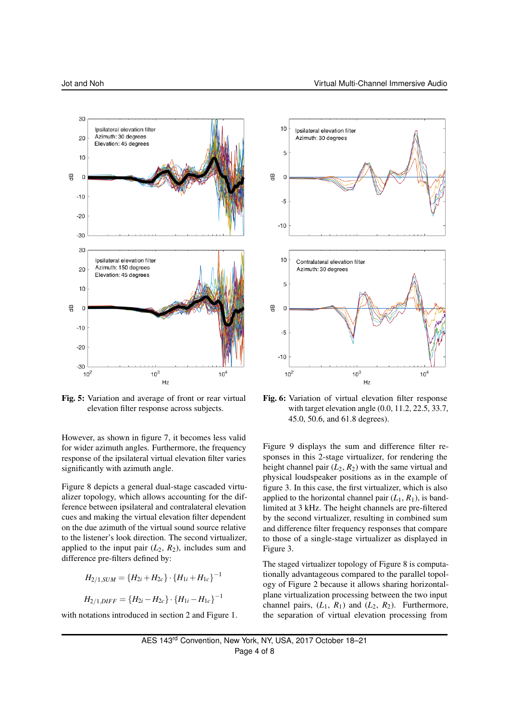

Fig. 5: Variation and average of front or rear virtual elevation filter response across subjects.

However, as shown in figure 7, it becomes less valid for wider azimuth angles. Furthermore, the frequency response of the ipsilateral virtual elevation filter varies significantly with azimuth angle.

Figure 8 depicts a general dual-stage cascaded virtualizer topology, which allows accounting for the difference between ipsilateral and contralateral elevation cues and making the virtual elevation filter dependent on the due azimuth of the virtual sound source relative to the listener's look direction. The second virtualizer, applied to the input pair  $(L_2, R_2)$ , includes sum and difference pre-filters defined by:

$$
H_{2/1,SUM} = \{H_{2i} + H_{2c}\} \cdot \{H_{1i} + H_{1c}\}^{-1}
$$

 $H_{2/1,DIFF} = \{H_{2i} - H_{2c}\} \cdot \{H_{1i} - H_{1c}\}^{-1}$ 

with notations introduced in section 2 and Figure 1.



Fig. 6: Variation of virtual elevation filter response with target elevation angle (0.0, 11.2, 22.5, 33.7, 45.0, 50.6, and 61.8 degrees).

Figure 9 displays the sum and difference filter responses in this 2-stage virtualizer, for rendering the height channel pair  $(L_2, R_2)$  with the same virtual and physical loudspeaker positions as in the example of figure 3. In this case, the first virtualizer, which is also applied to the horizontal channel pair  $(L_1, R_1)$ , is bandlimited at 3 kHz. The height channels are pre-filtered by the second virtualizer, resulting in combined sum and difference filter frequency responses that compare to those of a single-stage virtualizer as displayed in Figure 3.

The staged virtualizer topology of Figure 8 is computationally advantageous compared to the parallel topology of Figure 2 because it allows sharing horizontalplane virtualization processing between the two input channel pairs,  $(L_1, R_1)$  and  $(L_2, R_2)$ . Furthermore, the separation of virtual elevation processing from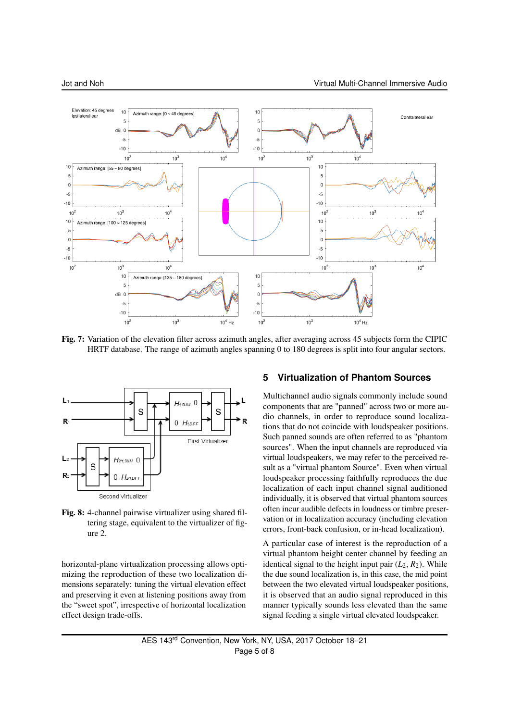

Fig. 7: Variation of the elevation filter across azimuth angles, after averaging across 45 subjects form the CIPIC HRTF database. The range of azimuth angles spanning 0 to 180 degrees is split into four angular sectors.



Fig. 8: 4-channel pairwise virtualizer using shared filtering stage, equivalent to the virtualizer of figure 2.

horizontal-plane virtualization processing allows optimizing the reproduction of these two localization dimensions separately: tuning the virtual elevation effect and preserving it even at listening positions away from the "sweet spot", irrespective of horizontal localization effect design trade-offs.

#### **5 Virtualization of Phantom Sources**

Multichannel audio signals commonly include sound components that are "panned" across two or more audio channels, in order to reproduce sound localizations that do not coincide with loudspeaker positions. Such panned sounds are often referred to as "phantom sources". When the input channels are reproduced via virtual loudspeakers, we may refer to the perceived result as a "virtual phantom Source". Even when virtual loudspeaker processing faithfully reproduces the due localization of each input channel signal auditioned individually, it is observed that virtual phantom sources often incur audible defects in loudness or timbre preservation or in localization accuracy (including elevation errors, front-back confusion, or in-head localization).

A particular case of interest is the reproduction of a virtual phantom height center channel by feeding an identical signal to the height input pair  $(L_2, R_2)$ . While the due sound localization is, in this case, the mid point between the two elevated virtual loudspeaker positions, it is observed that an audio signal reproduced in this manner typically sounds less elevated than the same signal feeding a single virtual elevated loudspeaker.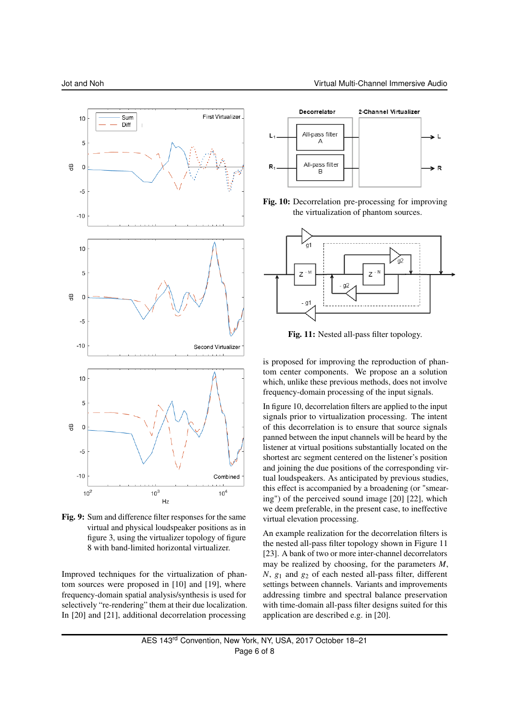

Fig. 9: Sum and difference filter responses for the same virtual and physical loudspeaker positions as in figure 3, using the virtualizer topology of figure 8 with band-limited horizontal virtualizer.

Improved techniques for the virtualization of phantom sources were proposed in [10] and [19], where frequency-domain spatial analysis/synthesis is used for selectively "re-rendering" them at their due localization. In [20] and [21], additional decorrelation processing



Fig. 10: Decorrelation pre-processing for improving the virtualization of phantom sources.



Fig. 11: Nested all-pass filter topology.

is proposed for improving the reproduction of phantom center components. We propose an a solution which, unlike these previous methods, does not involve frequency-domain processing of the input signals.

In figure 10, decorrelation filters are applied to the input signals prior to virtualization processing. The intent of this decorrelation is to ensure that source signals panned between the input channels will be heard by the listener at virtual positions substantially located on the shortest arc segment centered on the listener's position and joining the due positions of the corresponding virtual loudspeakers. As anticipated by previous studies, this effect is accompanied by a broadening (or "smearing") of the perceived sound image [20] [22], which we deem preferable, in the present case, to ineffective virtual elevation processing.

An example realization for the decorrelation filters is the nested all-pass filter topology shown in Figure 11 [23]. A bank of two or more inter-channel decorrelators may be realized by choosing, for the parameters *M*, *N*, *g*<sup>1</sup> and *g*<sup>2</sup> of each nested all-pass filter, different settings between channels. Variants and improvements addressing timbre and spectral balance preservation with time-domain all-pass filter designs suited for this application are described e.g. in [20].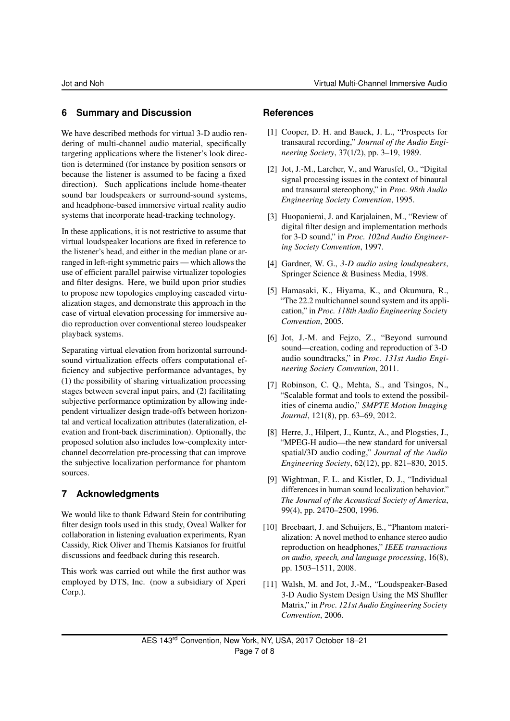## **6 Summary and Discussion**

We have described methods for virtual 3-D audio rendering of multi-channel audio material, specifically targeting applications where the listener's look direction is determined (for instance by position sensors or because the listener is assumed to be facing a fixed direction). Such applications include home-theater sound bar loudspeakers or surround-sound systems, and headphone-based immersive virtual reality audio systems that incorporate head-tracking technology.

In these applications, it is not restrictive to assume that virtual loudspeaker locations are fixed in reference to the listener's head, and either in the median plane or arranged in left-right symmetric pairs — which allows the use of efficient parallel pairwise virtualizer topologies and filter designs. Here, we build upon prior studies to propose new topologies employing cascaded virtualization stages, and demonstrate this approach in the case of virtual elevation processing for immersive audio reproduction over conventional stereo loudspeaker playback systems.

Separating virtual elevation from horizontal surroundsound virtualization effects offers computational efficiency and subjective performance advantages, by (1) the possibility of sharing virtualization processing stages between several input pairs, and (2) facilitating subjective performance optimization by allowing independent virtualizer design trade-offs between horizontal and vertical localization attributes (lateralization, elevation and front-back discrimination). Optionally, the proposed solution also includes low-complexity interchannel decorrelation pre-processing that can improve the subjective localization performance for phantom sources.

## **7 Acknowledgments**

We would like to thank Edward Stein for contributing filter design tools used in this study, Oveal Walker for collaboration in listening evaluation experiments, Ryan Cassidy, Rick Oliver and Themis Katsianos for fruitful discussions and feedback during this research.

This work was carried out while the first author was employed by DTS, Inc. (now a subsidiary of Xperi Corp.).

## **References**

- [1] Cooper, D. H. and Bauck, J. L., "Prospects for transaural recording," *Journal of the Audio Engineering Society*, 37(1/2), pp. 3–19, 1989.
- [2] Jot, J.-M., Larcher, V., and Warusfel, O., "Digital signal processing issues in the context of binaural and transaural stereophony," in *Proc. 98th Audio Engineering Society Convention*, 1995.
- [3] Huopaniemi, J. and Karjalainen, M., "Review of digital filter design and implementation methods for 3-D sound," in *Proc. 102nd Audio Engineering Society Convention*, 1997.
- [4] Gardner, W. G., *3-D audio using loudspeakers*, Springer Science & Business Media, 1998.
- [5] Hamasaki, K., Hiyama, K., and Okumura, R., "The 22.2 multichannel sound system and its application," in *Proc. 118th Audio Engineering Society Convention*, 2005.
- [6] Jot, J.-M. and Fejzo, Z., "Beyond surround sound—creation, coding and reproduction of 3-D audio soundtracks," in *Proc. 131st Audio Engineering Society Convention*, 2011.
- [7] Robinson, C. Q., Mehta, S., and Tsingos, N., "Scalable format and tools to extend the possibilities of cinema audio," *SMPTE Motion Imaging Journal*, 121(8), pp. 63–69, 2012.
- [8] Herre, J., Hilpert, J., Kuntz, A., and Plogsties, J., "MPEG-H audio—the new standard for universal spatial/3D audio coding," *Journal of the Audio Engineering Society*, 62(12), pp. 821–830, 2015.
- [9] Wightman, F. L. and Kistler, D. J., "Individual differences in human sound localization behavior." *The Journal of the Acoustical Society of America*, 99(4), pp. 2470–2500, 1996.
- [10] Breebaart, J. and Schuijers, E., "Phantom materialization: A novel method to enhance stereo audio reproduction on headphones," *IEEE transactions on audio, speech, and language processing*, 16(8), pp. 1503–1511, 2008.
- [11] Walsh, M. and Jot, J.-M., "Loudspeaker-Based 3-D Audio System Design Using the MS Shuffler Matrix," in *Proc. 121st Audio Engineering Society Convention*, 2006.